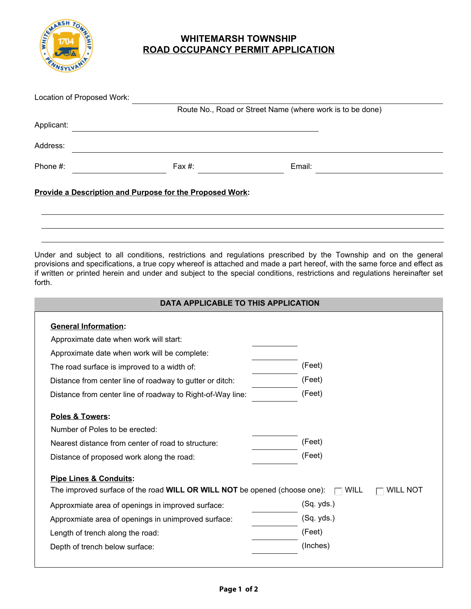

## **WHITEMARSH TOWNSHIP ROAD OCCUPANCY PERMIT APPLICATION**

| Location of Proposed Work: |                                                                 |                                                                                                                                                                                                                                                                                                                                                                           |  |
|----------------------------|-----------------------------------------------------------------|---------------------------------------------------------------------------------------------------------------------------------------------------------------------------------------------------------------------------------------------------------------------------------------------------------------------------------------------------------------------------|--|
|                            |                                                                 | Route No., Road or Street Name (where work is to be done)                                                                                                                                                                                                                                                                                                                 |  |
| Applicant:                 |                                                                 |                                                                                                                                                                                                                                                                                                                                                                           |  |
| Address:                   |                                                                 |                                                                                                                                                                                                                                                                                                                                                                           |  |
| Phone $#$ :                | Fax #:                                                          | Email:                                                                                                                                                                                                                                                                                                                                                                    |  |
|                            | <b>Provide a Description and Purpose for the Proposed Work:</b> |                                                                                                                                                                                                                                                                                                                                                                           |  |
| forth.                     |                                                                 | Under and subject to all conditions, restrictions and regulations prescribed by the Township and on the general<br>provisions and specifications, a true copy whereof is attached and made a part hereof, with the same force and effect as<br>if written or printed herein and under and subject to the special conditions, restrictions and regulations hereinafter set |  |

| DATA APPLICABLE TO THIS APPLICATION                                                                                   |                         |  |  |  |  |
|-----------------------------------------------------------------------------------------------------------------------|-------------------------|--|--|--|--|
| <b>General Information:</b>                                                                                           |                         |  |  |  |  |
| Approximate date when work will start:                                                                                |                         |  |  |  |  |
| Approximate date when work will be complete:                                                                          |                         |  |  |  |  |
| The road surface is improved to a width of:                                                                           | (Feet)                  |  |  |  |  |
| Distance from center line of roadway to gutter or ditch:                                                              | (Feet)                  |  |  |  |  |
| Distance from center line of roadway to Right-of-Way line:                                                            | (Feet)                  |  |  |  |  |
| Poles & Towers:<br>Number of Poles to be erected:                                                                     |                         |  |  |  |  |
| Nearest distance from center of road to structure:                                                                    | (Feet)                  |  |  |  |  |
| Distance of proposed work along the road:                                                                             | (Feet)                  |  |  |  |  |
| <b>Pipe Lines &amp; Conduits:</b><br>The improved surface of the road <b>WILL OR WILL NOT</b> be opened (choose one): | WILL<br><b>WILL NOT</b> |  |  |  |  |
| Approxmiate area of openings in improved surface:                                                                     | (Sq. yds.)              |  |  |  |  |
| Approxmiate area of openings in unimproved surface:                                                                   | (Sq. yds.)              |  |  |  |  |
| Length of trench along the road:                                                                                      | (Feet)                  |  |  |  |  |
| Depth of trench below surface:                                                                                        | (Inches)                |  |  |  |  |
|                                                                                                                       |                         |  |  |  |  |